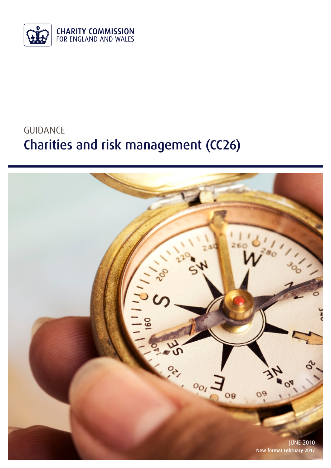

# GUIDANCE Charities and risk management (CC26)

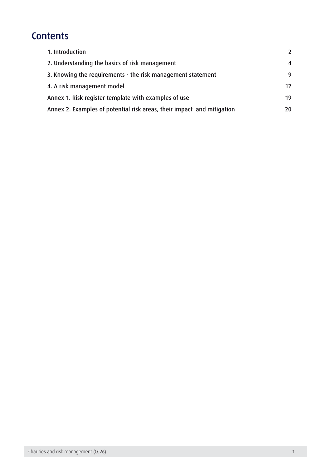## **Contents**

| 1. Introduction                                                        | $\mathcal{L}$ |
|------------------------------------------------------------------------|---------------|
| 2. Understanding the basics of risk management                         | 4             |
| 3. Knowing the requirements - the risk management statement            | 9             |
| 4. A risk management model                                             | 12            |
| Annex 1. Risk register template with examples of use                   | 19            |
| Annex 2. Examples of potential risk areas, their impact and mitigation | 20            |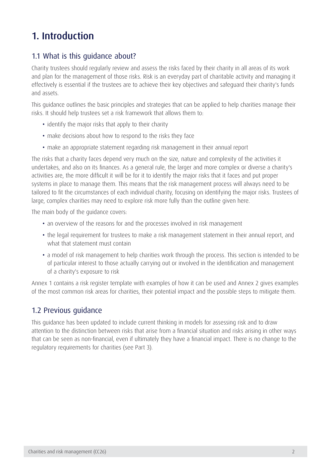## <span id="page-2-0"></span>1. Introduction

## 1.1 What is this guidance about?

Charity trustees should regularly review and assess the risks faced by their charity in all areas of its work and plan for the management of those risks. Risk is an everyday part of charitable activity and managing it effectively is essential if the trustees are to achieve their key objectives and safeguard their charity's funds and assets.

This guidance outlines the basic principles and strategies that can be applied to help charities manage their risks. It should help trustees set a risk framework that allows them to:

- identify the major risks that apply to their charity
- make decisions about how to respond to the risks they face
- make an appropriate statement regarding risk management in their annual report

The risks that a charity faces depend very much on the size, nature and complexity of the activities it undertakes, and also on its finances. As a general rule, the larger and more complex or diverse a charity's activities are, the more difficult it will be for it to identify the major risks that it faces and put proper systems in place to manage them. This means that the risk management process will always need to be tailored to fit the circumstances of each individual charity, focusing on identifying the major risks. Trustees of large, complex charities may need to explore risk more fully than the outline given here.

The main body of the guidance covers:

- an overview of the reasons for and the processes involved in risk management
- the legal requirement for trustees to make a risk management statement in their annual report, and what that statement must contain
- a model of risk management to help charities work through the process. This section is intended to be of particular interest to those actually carrying out or involved in the identification and management of a charity's exposure to risk

Annex 1 contains a risk register template with examples of how it can be used and Annex 2 gives examples of the most common risk areas for charities, their potential impact and the possible steps to mitigate them.

### 1.2 Previous guidance

This guidance has been updated to include current thinking in models for assessing risk and to draw attention to the distinction between risks that arise from a financial situation and risks arising in other ways that can be seen as non-financial, even if ultimately they have a financial impact. There is no change to the regulatory requirements for charities (see Part 3).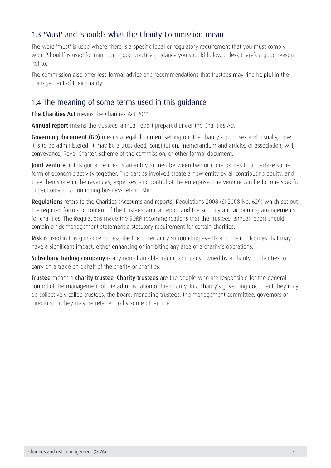## 1.3 'Must' and 'should': what the Charity Commission mean

The word 'must' is used where there is a specific legal or regulatory requirement that you must comply with. 'Should' is used for minimum good practice guidance you should follow unless there's a good reason not to.

The commission also offer less formal advice and recommendations that trustees may find helpful in the management of their charity.

### 1.4 The meaning of some terms used in this guidance

The Charities Act means the Charities Act 2011

Annual report means the trustees' annual report prepared under the Charities Act

Governing document (GD) means a legal document setting out the charity's purposes and, usually, how it is to be administered. It may be a trust deed, constitution, memorandum and articles of association, will, conveyance, Royal Charter, scheme of the commission, or other formal document.

Joint venture in this quidance means an entity formed between two or more parties to undertake some form of economic activity together. The parties involved create a new entity by all contributing equity, and they then share in the revenues, expenses, and control of the enterprise. The venture can be for one specific project only, or a continuing business relationship.

Regulations refers to the Charities (Accounts and reports) Regulations 2008 (SI 2008 No. 629) which set out the required form and content of the trustees' annual report and the scrutiny and accounting arrangements for charities. The Regulations made the SORP recommendations that the trustees' annual report should contain a risk management statement a statutory requirement for certain charities.

Risk is used in this guidance to describe the uncertainty surrounding events and their outcomes that may have a significant impact, either enhancing or inhibiting any area of a charity's operations.

Subsidiary trading company is any non-charitable trading company owned by a charity or charities to carry on a trade on behalf of the charity or charities.

**Trustee** means a **charity trustee. Charity trustees** are the people who are responsible for the general control of the management of the administration of the charity. In a charity's governing document they may be collectively called trustees, the board, managing trustees, the management committee, governors or directors, or they may be referred to by some other title.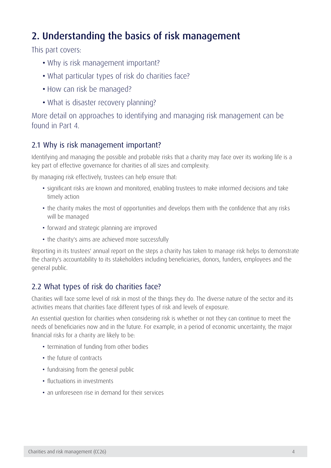## <span id="page-4-0"></span>2. Understanding the basics of risk management

This part covers:

- Why is risk management important?
- What particular types of risk do charities face?
- How can risk be managed?
- What is disaster recovery planning?

More detail on approaches to identifying and managing risk management can be found in Part 4.

## 2.1 Why is risk management important?

Identifying and managing the possible and probable risks that a charity may face over its working life is a key part of effective governance for charities of all sizes and complexity.

By managing risk effectively, trustees can help ensure that:

- significant risks are known and monitored, enabling trustees to make informed decisions and take timely action
- the charity makes the most of opportunities and develops them with the confidence that any risks will be managed
- forward and strategic planning are improved
- the charity's aims are achieved more successfully

Reporting in its trustees' annual report on the steps a charity has taken to manage risk helps to demonstrate the charity's accountability to its stakeholders including beneficiaries, donors, funders, employees and the general public.

## 2.2 What types of risk do charities face?

Charities will face some level of risk in most of the things they do. The diverse nature of the sector and its activities means that charities face different types of risk and levels of exposure.

An essential question for charities when considering risk is whether or not they can continue to meet the needs of beneficiaries now and in the future. For example, in a period of economic uncertainty, the major financial risks for a charity are likely to be:

- termination of funding from other bodies
- the future of contracts
- fundraising from the general public
- fluctuations in investments
- an unforeseen rise in demand for their services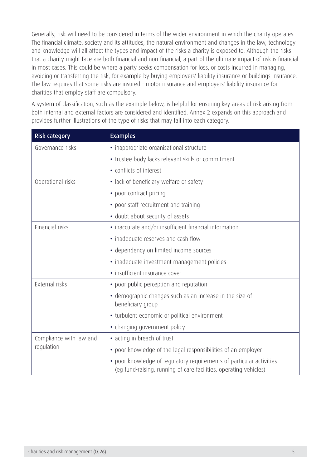Generally, risk will need to be considered in terms of the wider environment in which the charity operates. The financial climate, society and its attitudes, the natural environment and changes in the law, technology and knowledge will all affect the types and impact of the risks a charity is exposed to. Although the risks that a charity might face are both financial and non-financial, a part of the ultimate impact of risk is financial in most cases. This could be where a party seeks compensation for loss, or costs incurred in managing, avoiding or transferring the risk, for example by buying employers' liability insurance or buildings insurance. The law requires that some risks are insured - motor insurance and employers' liability insurance for charities that employ staff are compulsory.

A system of classification, such as the example below, is helpful for ensuring key areas of risk arising from both internal and external factors are considered and identified. Annex 2 expands on this approach and provides further illustrations of the type of risks that may fall into each category.

| <b>Risk category</b>    | <b>Examples</b>                                                                                                                           |  |  |
|-------------------------|-------------------------------------------------------------------------------------------------------------------------------------------|--|--|
| Governance risks        | · inappropriate organisational structure                                                                                                  |  |  |
|                         | • trustee body lacks relevant skills or commitment                                                                                        |  |  |
|                         | • conflicts of interest                                                                                                                   |  |  |
| Operational risks       | • lack of beneficiary welfare or safety                                                                                                   |  |  |
|                         | • poor contract pricing                                                                                                                   |  |  |
|                         | • poor staff recruitment and training                                                                                                     |  |  |
|                         | • doubt about security of assets                                                                                                          |  |  |
| Financial risks         | • inaccurate and/or insufficient financial information                                                                                    |  |  |
|                         | • inadequate reserves and cash flow                                                                                                       |  |  |
|                         | · dependency on limited income sources                                                                                                    |  |  |
|                         | · inadequate investment management policies                                                                                               |  |  |
|                         | · insufficient insurance cover                                                                                                            |  |  |
| External risks          | • poor public perception and reputation                                                                                                   |  |  |
|                         | • demographic changes such as an increase in the size of<br>beneficiary group                                                             |  |  |
|                         | • turbulent economic or political environment                                                                                             |  |  |
|                         | • changing government policy                                                                                                              |  |  |
| Compliance with law and | • acting in breach of trust                                                                                                               |  |  |
| regulation              | • poor knowledge of the legal responsibilities of an employer                                                                             |  |  |
|                         | • poor knowledge of regulatory requirements of particular activities<br>(eg fund-raising, running of care facilities, operating vehicles) |  |  |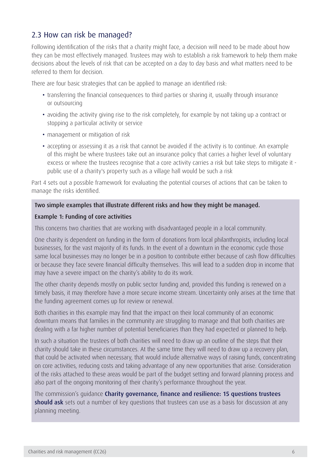## 2.3 How can risk be managed?

Following identification of the risks that a charity might face, a decision will need to be made about how they can be most effectively managed. Trustees may wish to establish a risk framework to help them make decisions about the levels of risk that can be accepted on a day to day basis and what matters need to be referred to them for decision.

There are four basic strategies that can be applied to manage an identified risk:

- transferring the financial consequences to third parties or sharing it, usually through insurance or outsourcing
- • avoiding the activity giving rise to the risk completely, for example by not taking up a contract or stopping a particular activity or service
- management or mitigation of risk
- accepting or assessing it as a risk that cannot be avoided if the activity is to continue. An example of this might be where trustees take out an insurance policy that carries a higher level of voluntary excess or where the trustees recognise that a core activity carries a risk but take steps to mitigate it public use of a charity's property such as a village hall would be such a risk

Part 4 sets out a possible framework for evaluating the potential courses of actions that can be taken to manage the risks identified.

### Two simple examples that illustrate different risks and how they might be managed.

#### Example 1: Funding of core activities

This concerns two charities that are working with disadvantaged people in a local community.

One charity is dependent on funding in the form of donations from local philanthropists, including local businesses, for the vast majority of its funds. In the event of a downturn in the economic cycle those same local businesses may no longer be in a position to contribute either because of cash flow difficulties or because they face severe financial difficulty themselves. This will lead to a sudden drop in income that may have a severe impact on the charity's ability to do its work.

The other charity depends mostly on public sector funding and, provided this funding is renewed on a timely basis, it may therefore have a more secure income stream. Uncertainty only arises at the time that the funding agreement comes up for review or renewal.

Both charities in this example may find that the impact on their local community of an economic downturn means that families in the community are struggling to manage and that both charities are dealing with a far higher number of potential beneficiaries than they had expected or planned to help.

In such a situation the trustees of both charities will need to draw up an outline of the steps that their charity should take in these circumstances. At the same time they will need to draw up a recovery plan, that could be activated when necessary, that would include alternative ways of raising funds, concentrating on core activities, reducing costs and taking advantage of any new opportunities that arise. Consideration of the risks attached to these areas would be part of the budget setting and forward planning process and also part of the ongoing monitoring of their charity's performance throughout the year.

The commission's guidance [Charity governance, finance and resilience: 15 questions trustees](https://www.gov.uk/government/publications/charity-trustee-meetings-15-questions-you-should-ask)  [should ask](https://www.gov.uk/government/publications/charity-trustee-meetings-15-questions-you-should-ask) sets out a number of key questions that trustees can use as a basis for discussion at any planning meeting.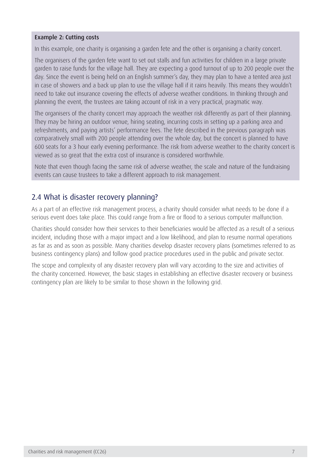#### Example 2: Cutting costs

In this example, one charity is organising a garden fete and the other is organising a charity concert.

The organisers of the garden fete want to set out stalls and fun activities for children in a large private garden to raise funds for the village hall. They are expecting a good turnout of up to 200 people over the day. Since the event is being held on an English summer's day, they may plan to have a tented area just in case of showers and a back up plan to use the village hall if it rains heavily. This means they wouldn't need to take out insurance covering the effects of adverse weather conditions. In thinking through and planning the event, the trustees are taking account of risk in a very practical, pragmatic way.

The organisers of the charity concert may approach the weather risk differently as part of their planning. They may be hiring an outdoor venue, hiring seating, incurring costs in setting up a parking area and refreshments, and paying artists' performance fees. The fete described in the previous paragraph was comparatively small with 200 people attending over the whole day, but the concert is planned to have 600 seats for a 3 hour early evening performance. The risk from adverse weather to the charity concert is viewed as so great that the extra cost of insurance is considered worthwhile.

Note that even though facing the same risk of adverse weather, the scale and nature of the fundraising events can cause trustees to take a different approach to risk management.

### 2.4 What is disaster recovery planning?

As a part of an effective risk management process, a charity should consider what needs to be done if a serious event does take place. This could range from a fire or flood to a serious computer malfunction.

Charities should consider how their services to their beneficiaries would be affected as a result of a serious incident, including those with a major impact and a low likelihood, and plan to resume normal operations as far as and as soon as possible. Many charities develop disaster recovery plans (sometimes referred to as business contingency plans) and follow good practice procedures used in the public and private sector.

The scope and complexity of any disaster recovery plan will vary according to the size and activities of the charity concerned. However, the basic stages in establishing an effective disaster recovery or business contingency plan are likely to be similar to those shown in the following grid.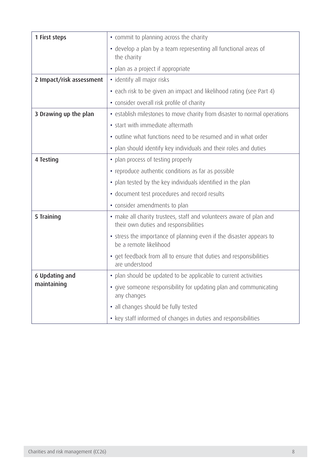| 1 First steps            | • commit to planning across the charity                                                                      |  |  |
|--------------------------|--------------------------------------------------------------------------------------------------------------|--|--|
|                          | • develop a plan by a team representing all functional areas of<br>the charity                               |  |  |
|                          | • plan as a project if appropriate                                                                           |  |  |
| 2 Impact/risk assessment | · identify all major risks                                                                                   |  |  |
|                          | • each risk to be given an impact and likelihood rating (see Part 4)                                         |  |  |
|                          | · consider overall risk profile of charity                                                                   |  |  |
| 3 Drawing up the plan    | • establish milestones to move charity from disaster to normal operations                                    |  |  |
|                          | • start with immediate aftermath                                                                             |  |  |
|                          | • outline what functions need to be resumed and in what order                                                |  |  |
|                          | • plan should identify key individuals and their roles and duties                                            |  |  |
| 4 Testing                | • plan process of testing properly                                                                           |  |  |
|                          | • reproduce authentic conditions as far as possible                                                          |  |  |
|                          | • plan tested by the key individuals identified in the plan                                                  |  |  |
|                          | • document test procedures and record results                                                                |  |  |
|                          | • consider amendments to plan                                                                                |  |  |
| 5 Training               | • make all charity trustees, staff and volunteers aware of plan and<br>their own duties and responsibilities |  |  |
|                          | • stress the importance of planning even if the disaster appears to<br>be a remote likelihood                |  |  |
|                          | • get feedback from all to ensure that duties and responsibilities<br>are understood                         |  |  |
| 6 Updating and           | • plan should be updated to be applicable to current activities                                              |  |  |
| maintaining              | • give someone responsibility for updating plan and communicating<br>any changes                             |  |  |
|                          | · all changes should be fully tested                                                                         |  |  |
|                          | • key staff informed of changes in duties and responsibilities                                               |  |  |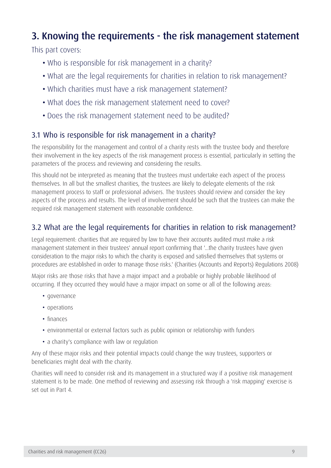## <span id="page-9-0"></span>3. Knowing the requirements - the risk management statement

This part covers:

- Who is responsible for risk management in a charity?
- What are the legal requirements for charities in relation to risk management?
- Which charities must have a risk management statement?
- What does the risk management statement need to cover?
- Does the risk management statement need to be audited?

## 3.1 Who is responsible for risk management in a charity?

The responsibility for the management and control of a charity rests with the trustee body and therefore their involvement in the key aspects of the risk management process is essential, particularly in setting the parameters of the process and reviewing and considering the results.

This should not be interpreted as meaning that the trustees must undertake each aspect of the process themselves. In all but the smallest charities, the trustees are likely to delegate elements of the risk management process to staff or professional advisers. The trustees should review and consider the key aspects of the process and results. The level of involvement should be such that the trustees can make the required risk management statement with reasonable confidence.

## 3.2 What are the legal requirements for charities in relation to risk management?

Legal requirement: charities that are required by law to have their accounts audited must make a risk management statement in their trustees' annual report confirming that '...the charity trustees have given consideration to the major risks to which the charity is exposed and satisfied themselves that systems or procedures are established in order to manage those risks.' (Charities (Accounts and Reports) Regulations 2008)

Major risks are those risks that have a major impact and a probable or highly probable likelihood of occurring. If they occurred they would have a major impact on some or all of the following areas:

- governance
- operations
- finances
- environmental or external factors such as public opinion or relationship with funders
- a charity's compliance with law or regulation

Any of these major risks and their potential impacts could change the way trustees, supporters or beneficiaries might deal with the charity.

Charities will need to consider risk and its management in a structured way if a positive risk management statement is to be made. One method of reviewing and assessing risk through a 'risk mapping' exercise is set out in Part 4.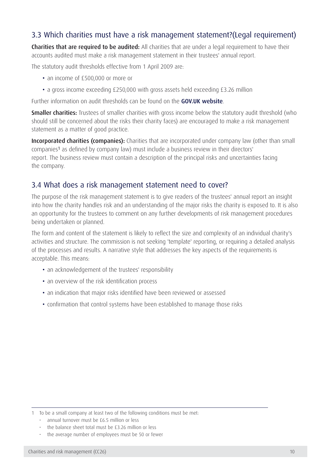## 3.3 Which charities must have a risk management statement?(Legal requirement)

Charities that are required to be audited: All charities that are under a legal requirement to have their accounts audited must make a risk management statement in their trustees' annual report.

The statutory audit thresholds effective from 1 April 2009 are:

- an income of £500,000 or more or
- a gross income exceeding £250,000 with gross assets held exceeding £3.26 million

Further information on audit thresholds can be found on the [GOV.UK website](https://www.gov.uk/).

**Smaller charities:** Trustees of smaller charities with gross income below the statutory audit threshold (who should still be concerned about the risks their charity faces) are encouraged to make a risk management statement as a matter of good practice.

Incorporated charities (companies): Charities that are incorporated under company law (other than small companies1 as defined by company law) must include a business review in their directors' report. The business review must contain a description of the principal risks and uncertainties facing the company.

### 3.4 What does a risk management statement need to cover?

The purpose of the risk management statement is to give readers of the trustees' annual report an insight into how the charity handles risk and an understanding of the major risks the charity is exposed to. It is also an opportunity for the trustees to comment on any further developments of risk management procedures being undertaken or planned.

The form and content of the statement is likely to reflect the size and complexity of an individual charity's activities and structure. The commission is not seeking 'template' reporting, or requiring a detailed analysis of the processes and results. A narrative style that addresses the key aspects of the requirements is acceptable. This means:

- an acknowledgement of the trustees' responsibility
- an overview of the risk identification process
- an indication that major risks identified have been reviewed or assessed
- confirmation that control systems have been established to manage those risks

<sup>1</sup> To be a small company at least two of the following conditions must be met:

<sup>•</sup> annual turnover must be £6.5 million or less

the balance sheet total must be £3.26 million or less

the average number of employees must be 50 or fewer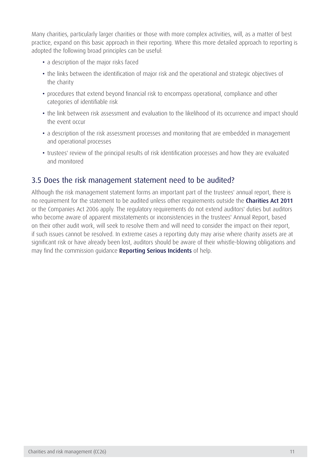Many charities, particularly larger charities or those with more complex activities, will, as a matter of best practice, expand on this basic approach in their reporting. Where this more detailed approach to reporting is adopted the following broad principles can be useful:

- a description of the major risks faced
- the links between the identification of major risk and the operational and strategic objectives of the charity
- procedures that extend beyond financial risk to encompass operational, compliance and other categories of identifiable risk
- the link between risk assessment and evaluation to the likelihood of its occurrence and impact should the event occur
- a description of the risk assessment processes and monitoring that are embedded in management and operational processes
- trustees' review of the principal results of risk identification processes and how they are evaluated and monitored

## 3.5 Does the risk management statement need to be audited?

Although the risk management statement forms an important part of the trustees' annual report, there is no requirement for the statement to be audited unless other requirements outside the [Charities Act 2011](http://www.legislation.gov.uk/ukpga/2011/25/contents/proposed/charities-act-2011) or the Companies Act 2006 apply. The regulatory requirements do not extend auditors' duties but auditors who become aware of apparent misstatements or inconsistencies in the trustees' Annual Report, based on their other audit work, will seek to resolve them and will need to consider the impact on their report, if such issues cannot be resolved. In extreme cases a reporting duty may arise where charity assets are at significant risk or have already been lost, auditors should be aware of their whistle-blowing obligations and may find the commission quidance [Reporting Serious Incidents](https://www.gov.uk/guidance/how-to-report-a-serious-incident-in-your-charity) of help.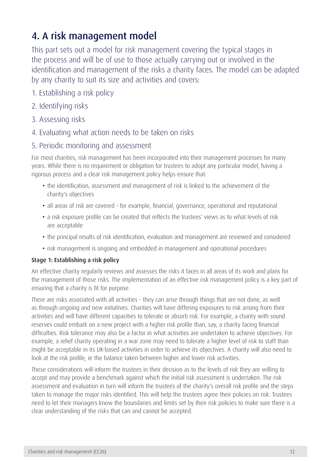## <span id="page-12-0"></span>4. A risk management model

This part sets out a model for risk management covering the typical stages in the process and will be of use to those actually carrying out or involved in the identification and management of the risks a charity faces. The model can be adapted by any charity to suit its size and activities and covers:

- 1. Establishing a risk policy
- 2. Identifying risks
- 3. Assessing risks
- 4. Evaluating what action needs to be taken on risks

### 5. Periodic monitoring and assessment

For most charities, risk management has been incorporated into their management processes for many years. While there is no requirement or obligation for trustees to adopt any particular model, having a rigorous process and a clear risk management policy helps ensure that:

- the identification, assessment and management of risk is linked to the achievement of the charity's objectives
- all areas of risk are covered for example, financial, governance, operational and reputational
- a risk exposure profile can be created that reflects the trustees' views as to what levels of risk are acceptable
- the principal results of risk identification, evaluation and management are reviewed and considered
- risk management is ongoing and embedded in management and operational procedures

### Stage 1: Establishing a risk policy

An effective charity regularly reviews and assesses the risks it faces in all areas of its work and plans for the management of those risks. The implementation of an effective risk management policy is a key part of ensuring that a charity is fit for purpose.

There are risks associated with all activities - they can arise through things that are not done, as well as through ongoing and new initiatives. Charities will have differing exposures to risk arising from their activities and will have different capacities to tolerate or absorb risk. For example, a charity with sound reserves could embark on a new project with a higher risk profile than, say, a charity facing financial difficulties. Risk tolerance may also be a factor in what activities are undertaken to achieve objectives. For example, a relief charity operating in a war zone may need to tolerate a higher level of risk to staff than might be acceptable in its UK-based activities in order to achieve its objectives. A charity will also need to look at the risk profile, ie the balance taken between higher and lower risk activities.

These considerations will inform the trustees in their decision as to the levels of risk they are willing to accept and may provide a benchmark against which the initial risk assessment is undertaken. The risk assessment and evaluation in turn will inform the trustees of the charity's overall risk profile and the steps taken to manage the major risks identified. This will help the trustees agree their policies on risk. Trustees need to let their managers know the boundaries and limits set by their risk policies to make sure there is a clear understanding of the risks that can and cannot be accepted.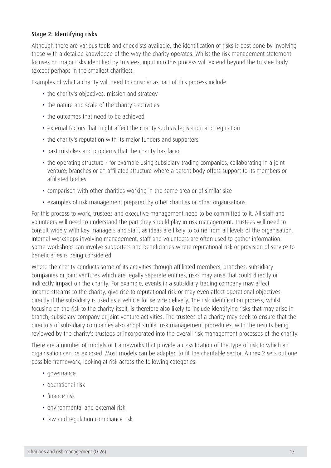### Stage 2: Identifying risks

Although there are various tools and checklists available, the identification of risks is best done by involving those with a detailed knowledge of the way the charity operates. Whilst the risk management statement focuses on major risks identified by trustees, input into this process will extend beyond the trustee body (except perhaps in the smallest charities).

Examples of what a charity will need to consider as part of this process include:

- the charity's objectives, mission and strategy
- the nature and scale of the charity's activities
- the outcomes that need to be achieved
- external factors that might affect the charity such as legislation and regulation
- the charity's reputation with its major funders and supporters
- past mistakes and problems that the charity has faced
- the operating structure for example using subsidiary trading companies, collaborating in a joint venture; branches or an affiliated structure where a parent body offers support to its members or affiliated bodies
- comparison with other charities working in the same area or of similar size
- examples of risk management prepared by other charities or other organisations

For this process to work, trustees and executive management need to be committed to it. All staff and volunteers will need to understand the part they should play in risk management. Trustees will need to consult widely with key managers and staff, as ideas are likely to come from all levels of the organisation. Internal workshops involving management, staff and volunteers are often used to gather information. Some workshops can involve supporters and beneficiaries where reputational risk or provision of service to beneficiaries is being considered.

Where the charity conducts some of its activities through affiliated members, branches, subsidiary companies or joint ventures which are legally separate entities, risks may arise that could directly or indirectly impact on the charity. For example, events in a subsidiary trading company may affect income streams to the charity, give rise to reputational risk or may even affect operational objectives directly if the subsidiary is used as a vehicle for service delivery. The risk identification process, whilst focusing on the risk to the charity itself, is therefore also likely to include identifying risks that may arise in branch, subsidiary company or joint venture activities. The trustees of a charity may seek to ensure that the directors of subsidiary companies also adopt similar risk management procedures, with the results being reviewed by the charity's trustees or incorporated into the overall risk management processes of the charity.

There are a number of models or frameworks that provide a classification of the type of risk to which an organisation can be exposed. Most models can be adapted to fit the charitable sector. Annex 2 sets out one possible framework, looking at risk across the following categories:

- governance
- operational risk
- finance risk
- environmental and external risk
- law and regulation compliance risk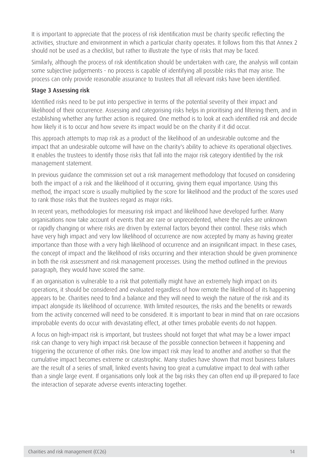It is important to appreciate that the process of risk identification must be charity specific reflecting the activities, structure and environment in which a particular charity operates. It follows from this that Annex 2 should not be used as a checklist, but rather to illustrate the type of risks that may be faced.

Similarly, although the process of risk identification should be undertaken with care, the analysis will contain some subjective judgements - no process is capable of identifying all possible risks that may arise. The process can only provide reasonable assurance to trustees that all relevant risks have been identified.

### Stage 3 Assessing risk

Identified risks need to be put into perspective in terms of the potential severity of their impact and likelihood of their occurrence. Assessing and categorising risks helps in prioritising and filtering them, and in establishing whether any further action is required. One method is to look at each identified risk and decide how likely it is to occur and how severe its impact would be on the charity if it did occur.

This approach attempts to map risk as a product of the likelihood of an undesirable outcome and the impact that an undesirable outcome will have on the charity's ability to achieve its operational objectives. It enables the trustees to identify those risks that fall into the major risk category identified by the risk management statement.

In previous guidance the commission set out a risk management methodology that focused on considering both the impact of a risk and the likelihood of it occurring, giving them equal importance. Using this method, the impact score is usually multiplied by the score for likelihood and the product of the scores used to rank those risks that the trustees regard as major risks.

In recent years, methodologies for measuring risk impact and likelihood have developed further. Many organisations now take account of events that are rare or unprecedented, where the rules are unknown or rapidly changing or where risks are driven by external factors beyond their control. These risks which have very high impact and very low likelihood of occurrence are now accepted by many as having greater importance than those with a very high likelihood of occurrence and an insignificant impact. In these cases, the concept of impact and the likelihood of risks occurring and their interaction should be given prominence in both the risk assessment and risk management processes. Using the method outlined in the previous paragraph, they would have scored the same.

If an organisation is vulnerable to a risk that potentially might have an extremely high impact on its operations, it should be considered and evaluated regardless of how remote the likelihood of its happening appears to be. Charities need to find a balance and they will need to weigh the nature of the risk and its impact alongside its likelihood of occurrence. With limited resources, the risks and the benefits or rewards from the activity concerned will need to be considered. It is important to bear in mind that on rare occasions improbable events do occur with devastating effect, at other times probable events do not happen.

A focus on high-impact risk is important, but trustees should not forget that what may be a lower impact risk can change to very high impact risk because of the possible connection between it happening and triggering the occurrence of other risks. One low impact risk may lead to another and another so that the cumulative impact becomes extreme or catastrophic. Many studies have shown that most business failures are the result of a series of small, linked events having too great a cumulative impact to deal with rather than a single large event. If organisations only look at the big risks they can often end up ill-prepared to face the interaction of separate adverse events interacting together.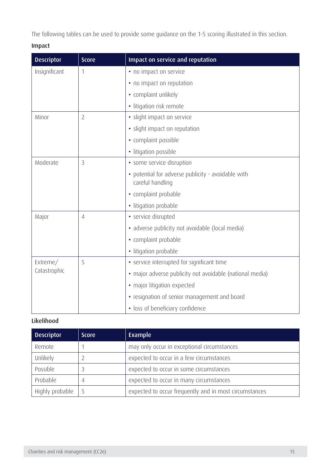The following tables can be used to provide some guidance on the 1-5 scoring illustrated in this section.

### Impact

| <b>Descriptor</b> | <b>Score</b>   | Impact on service and reputation                                       |  |
|-------------------|----------------|------------------------------------------------------------------------|--|
| Insignificant     | $\mathbf 1$    | • no impact on service                                                 |  |
|                   |                | • no impact on reputation                                              |  |
|                   |                | • complaint unlikely                                                   |  |
|                   |                | · litigation risk remote                                               |  |
| Minor             | $\overline{2}$ | · slight impact on service                                             |  |
|                   |                | · slight impact on reputation                                          |  |
|                   |                | • complaint possible                                                   |  |
|                   |                | · litigation possible                                                  |  |
| Moderate          | $\overline{3}$ | · some service disruption                                              |  |
|                   |                | • potential for adverse publicity - avoidable with<br>careful handling |  |
|                   |                | • complaint probable                                                   |  |
|                   |                | · litigation probable                                                  |  |
| Major             | 4              | · service disrupted                                                    |  |
|                   |                | · adverse publicity not avoidable (local media)                        |  |
|                   |                | • complaint probable                                                   |  |
|                   |                | · litigation probable                                                  |  |
| Extreme/          | 5              | • service interrupted for significant time                             |  |
| Catastrophic      |                | · major adverse publicity not avoidable (national media)               |  |
|                   |                | • major litigation expected                                            |  |
|                   |                | • resignation of senior management and board                           |  |
|                   |                | • loss of beneficiary confidence                                       |  |

### Likelihood

| <b>Descriptor</b> | <b>Score</b> | Example                                                |  |
|-------------------|--------------|--------------------------------------------------------|--|
| Remote            |              | may only occur in exceptional circumstances            |  |
| Unlikely          |              | expected to occur in a few circumstances               |  |
| Possible          | 3            | expected to occur in some circumstances                |  |
| Probable          | 4            | expected to occur in many circumstances                |  |
| Highly probable   | 5            | expected to occur frequently and in most circumstances |  |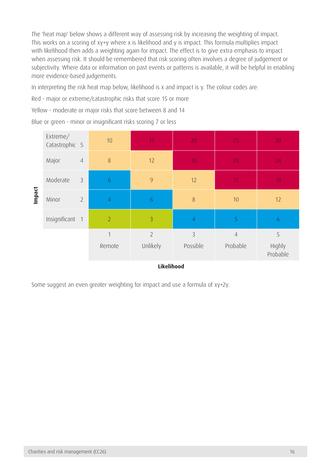The 'heat map' below shows a different way of assessing risk by increasing the weighting of impact. This works on a scoring of xy+y where x is likelihood and y is impact. This formula multiplies impact with likelihood then adds a weighting again for impact. The effect is to give extra emphasis to impact when assessing risk. It should be remembered that risk scoring often involves a degree of judgement or subjectivity. Where data or information on past events or patterns is available, it will be helpful in enabling more evidence-based judgements.

In interpreting the risk heat map below, likelihood is x and impact is y. The colour codes are:

Red - major or extreme/catastrophic risks that score 15 or more

Yellow - moderate or major risks that score between 8 and 14

|            | Extreme/<br>Catastrophic 5 |                | 10             | 15             | 20             | 25             | 30                 |
|------------|----------------------------|----------------|----------------|----------------|----------------|----------------|--------------------|
|            | Major                      | $\sqrt{4}$     | 8              | 12             | 16             | 20             | 24                 |
|            | Moderate                   | 3              | 6              | 9              | 12             | 15             | 18                 |
| Impact     | Minor                      | $\overline{2}$ | $\overline{4}$ | 6              | 8              | 10             | 12                 |
|            | Insignificant 1            |                | $\overline{2}$ | $\overline{3}$ | $\overline{4}$ | $\overline{5}$ | 6                  |
|            |                            |                | $\overline{1}$ | $\overline{2}$ | $\overline{3}$ | $\sqrt{4}$     | 5                  |
|            |                            |                | Remote         | Unlikely       | Possible       | Probable       | Highly<br>Probable |
| Likelihood |                            |                |                |                |                |                |                    |

Blue or green - minor or insignificant risks scoring 7 or less

Some suggest an even greater weighting for impact and use a formula of xy+2y.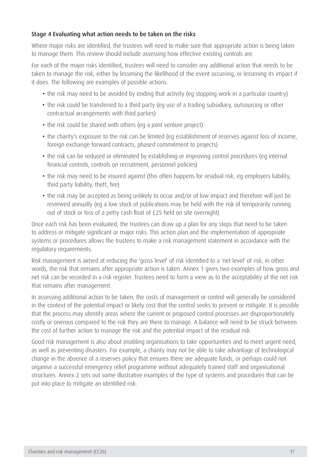### Stage 4 Evaluating what action needs to be taken on the risks

Where major risks are identified, the trustees will need to make sure that appropriate action is being taken to manage them. This review should include assessing how effective existing controls are.

For each of the major risks identified, trustees will need to consider any additional action that needs to be taken to manage the risk, either by lessening the likelihood of the event occurring, or lessening its impact if it does. The following are examples of possible actions:

- the risk may need to be avoided by ending that activity (eg stopping work in a particular country)
- the risk could be transferred to a third party (eq use of a trading subsidiary, outsourcing or other contractual arrangements with third parties)
- the risk could be shared with others (eg a joint venture project)
- the charity's exposure to the risk can be limited (eg establishment of reserves against loss of income, foreign exchange forward contracts, phased commitment to projects)
- the risk can be reduced or eliminated by establishing or improving control procedures (eg internal financial controls, controls on recruitment, personnel policies)
- the risk may need to be insured against (this often happens for residual risk, eg employers liability, third party liability, theft, fire)
- the risk may be accepted as being unlikely to occur and/or of low impact and therefore will just be reviewed annually (eg a low stock of publications may be held with the risk of temporarily running out of stock or loss of a petty cash float of £25 held on site overnight)

Once each risk has been evaluated, the trustees can draw up a plan for any steps that need to be taken to address or mitigate significant or major risks. This action plan and the implementation of appropriate systems or procedures allows the trustees to make a risk management statement in accordance with the regulatory requirements.

Risk management is aimed at reducing the 'gross level' of risk identified to a 'net level' of risk, in other words, the risk that remains after appropriate action is taken. Annex 1 gives two examples of how gross and net risk can be recorded in a risk register. Trustees need to form a view as to the acceptability of the net risk that remains after management.

In assessing additional action to be taken, the costs of management or control will generally be considered in the context of the potential impact or likely cost that the control seeks to prevent or mitigate. It is possible that the process may identify areas where the current or proposed control processes are disproportionately costly or onerous compared to the risk they are there to manage. A balance will need to be struck between the cost of further action to manage the risk and the potential impact of the residual risk.

Good risk management is also about enabling organisations to take opportunities and to meet urgent need, as well as preventing disasters. For example, a charity may not be able to take advantage of technological change in the absence of a reserves policy that ensures there are adequate funds, or perhaps could not organise a successful emergency relief programme without adequately trained staff and organisational structures. Annex 2 sets out some illustrative examples of the type of systems and procedures that can be put into place to mitigate an identified risk.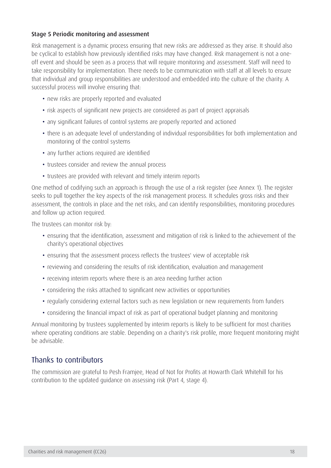### Stage 5 Periodic monitoring and assessment

Risk management is a dynamic process ensuring that new risks are addressed as they arise. It should also be cyclical to establish how previously identified risks may have changed. Risk management is not a oneoff event and should be seen as a process that will require monitoring and assessment. Staff will need to take responsibility for implementation. There needs to be communication with staff at all levels to ensure that individual and group responsibilities are understood and embedded into the culture of the charity. A successful process will involve ensuring that:

- new risks are properly reported and evaluated
- risk aspects of significant new projects are considered as part of project appraisals
- any significant failures of control systems are properly reported and actioned
- there is an adequate level of understanding of individual responsibilities for both implementation and monitoring of the control systems
- any further actions required are identified
- trustees consider and review the annual process
- trustees are provided with relevant and timely interim reports

One method of codifying such an approach is through the use of a risk register (see Annex 1). The register seeks to pull together the key aspects of the risk management process. It schedules gross risks and their assessment, the controls in place and the net risks, and can identify responsibilities, monitoring procedures and follow up action required.

The trustees can monitor risk by:

- • ensuring that the identification, assessment and mitigation of risk is linked to the achievement of the charity's operational objectives
- ensuring that the assessment process reflects the trustees' view of acceptable risk
- reviewing and considering the results of risk identification, evaluation and management
- receiving interim reports where there is an area needing further action
- considering the risks attached to significant new activities or opportunities
- regularly considering external factors such as new legislation or new requirements from funders
- considering the financial impact of risk as part of operational budget planning and monitoring

Annual monitoring by trustees supplemented by interim reports is likely to be sufficient for most charities where operating conditions are stable. Depending on a charity's risk profile, more frequent monitoring might be advisable.

### Thanks to contributors

The commission are grateful to Pesh Framjee, Head of Not for Profits at Howarth Clark Whitehill for his contribution to the updated guidance on assessing risk (Part 4, stage 4).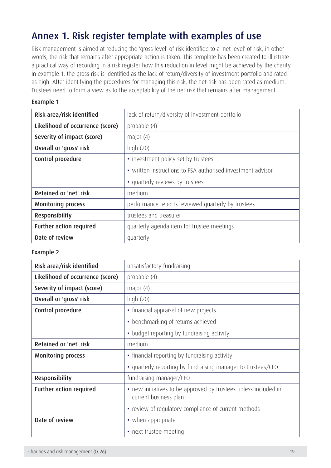## <span id="page-19-0"></span>Annex 1. Risk register template with examples of use

Risk management is aimed at reducing the 'gross level' of risk identified to a 'net level' of risk, in other words, the risk that remains after appropriate action is taken. This template has been created to illustrate a practical way of recording in a risk register how this reduction in level might be achieved by the charity. In example 1, the gross risk is identified as the lack of return/diversity of investment portfolio and rated as high. After identifying the procedures for managing this risk, the net risk has been rated as medium. Trustees need to form a view as to the acceptability of the net risk that remains after management.

#### Example 1

| Risk area/risk identified        | lack of return/diversity of investment portfolio            |  |  |
|----------------------------------|-------------------------------------------------------------|--|--|
| Likelihood of occurrence (score) | probable (4)                                                |  |  |
| Severity of impact (score)       | major $(4)$                                                 |  |  |
| Overall or 'gross' risk          | high $(20)$                                                 |  |  |
| Control procedure                | • investment policy set by trustees                         |  |  |
|                                  | • written instructions to FSA authorised investment advisor |  |  |
|                                  | • quarterly reviews by trustees                             |  |  |
| Retained or 'net' risk           | medium                                                      |  |  |
| <b>Monitoring process</b>        | performance reports reviewed quarterly by trustees          |  |  |
|                                  |                                                             |  |  |
| Responsibility                   | trustees and treasurer                                      |  |  |
| Further action required          | quarterly agenda item for trustee meetings                  |  |  |

### Example 2

| Risk area/risk identified        | unsatisfactory fundraising                                                               |  |
|----------------------------------|------------------------------------------------------------------------------------------|--|
| Likelihood of occurrence (score) | probable (4)                                                                             |  |
| Severity of impact (score)       | major $(4)$                                                                              |  |
| Overall or 'gross' risk          | high $(20)$                                                                              |  |
| Control procedure                | • financial appraisal of new projects                                                    |  |
|                                  | • benchmarking of returns achieved                                                       |  |
|                                  | • budget reporting by fundraising activity                                               |  |
| Retained or 'net' risk           | medium                                                                                   |  |
| <b>Monitoring process</b>        | • financial reporting by fundraising activity                                            |  |
|                                  | • quarterly reporting by fundraising manager to trustees/CEO                             |  |
| Responsibility                   | fundraising manager/CEO                                                                  |  |
| Further action required          | • new initiatives to be approved by trustees unless included in<br>current business plan |  |
|                                  | • review of regulatory compliance of current methods                                     |  |
| Date of review                   | • when appropriate                                                                       |  |
|                                  | • next trustee meeting                                                                   |  |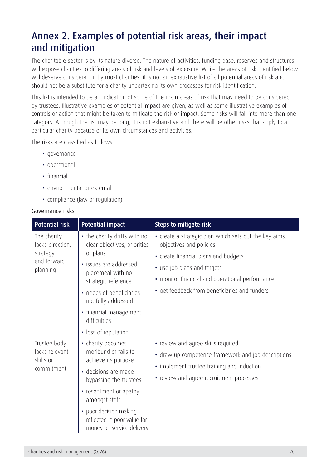## <span id="page-20-0"></span>Annex 2. Examples of potential risk areas, their impact and mitigation

The charitable sector is by its nature diverse. The nature of activities, funding base, reserves and structures will expose charities to differing areas of risk and levels of exposure. While the areas of risk identified below will deserve consideration by most charities, it is not an exhaustive list of all potential areas of risk and should not be a substitute for a charity undertaking its own processes for risk identification.

This list is intended to be an indication of some of the main areas of risk that may need to be considered by trustees. Illustrative examples of potential impact are given, as well as some illustrative examples of controls or action that might be taken to mitigate the risk or impact. Some risks will fall into more than one category. Although the list may be long, it is not exhaustive and there will be other risks that apply to a particular charity because of its own circumstances and activities.

The risks are classified as follows:

- governance
- operational
- financial
- environmental or external
- compliance (law or regulation)

#### Governance risks

| <b>Potential risk</b>                                                  | <b>Potential impact</b>                                                                                                                                                                                                                                             | Steps to mitigate risk                                                                                                                                                                                                                                       |
|------------------------------------------------------------------------|---------------------------------------------------------------------------------------------------------------------------------------------------------------------------------------------------------------------------------------------------------------------|--------------------------------------------------------------------------------------------------------------------------------------------------------------------------------------------------------------------------------------------------------------|
| The charity<br>lacks direction,<br>strategy<br>and forward<br>planning | • the charity drifts with no<br>clear objectives, priorities<br>or plans<br>· issues are addressed<br>piecemeal with no<br>strategic reference<br>• needs of beneficiaries<br>not fully addressed<br>• financial management<br>difficulties<br>• loss of reputation | • create a strategic plan which sets out the key aims,<br>objectives and policies<br>• create financial plans and budgets<br>• use job plans and targets<br>• monitor financial and operational performance<br>• get feedback from beneficiaries and funders |
| Trustee body<br>lacks relevant<br>skills or<br>commitment              | • charity becomes<br>moribund or fails to<br>achieve its purpose<br>· decisions are made<br>bypassing the trustees<br>• resentment or apathy<br>amongst staff<br>poor decision making<br>$\bullet$<br>reflected in poor value for<br>money on service delivery      | • review and agree skills required<br>• draw up competence framework and job descriptions<br>• implement trustee training and induction<br>• review and agree recruitment processes                                                                          |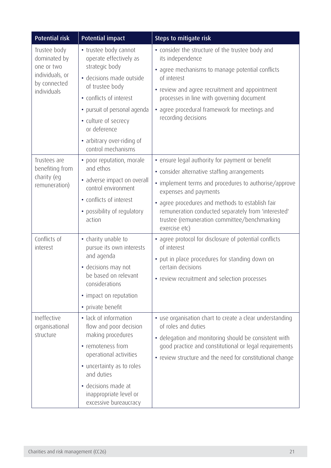| <b>Potential risk</b>                                                                        | <b>Potential impact</b>                                                                                                                                                                                                                                                 | Steps to mitigate risk                                                                                                                                                                                                                                                                                                                                        |
|----------------------------------------------------------------------------------------------|-------------------------------------------------------------------------------------------------------------------------------------------------------------------------------------------------------------------------------------------------------------------------|---------------------------------------------------------------------------------------------------------------------------------------------------------------------------------------------------------------------------------------------------------------------------------------------------------------------------------------------------------------|
| Trustee body<br>dominated by<br>one or two<br>individuals, or<br>by connected<br>individuals | • trustee body cannot<br>operate effectively as<br>strategic body<br>· decisions made outside<br>of trustee body<br>• conflicts of interest<br>• pursuit of personal agenda<br>• culture of secrecy<br>or deference<br>• arbitrary over-riding of<br>control mechanisms | • consider the structure of the trustee body and<br>its independence<br>• agree mechanisms to manage potential conflicts<br>of interest<br>• review and agree recruitment and appointment<br>processes in line with governing document<br>• agree procedural framework for meetings and<br>recording decisions                                                |
| Trustees are<br>benefiting from<br>charity (eg<br>remuneration)                              | • poor reputation, morale<br>and ethos<br>• adverse impact on overall<br>control environment<br>• conflicts of interest<br>• possibility of regulatory<br>action                                                                                                        | • ensure legal authority for payment or benefit<br>• consider alternative staffing arrangements<br>• implement terms and procedures to authorise/approve<br>expenses and payments<br>• agree procedures and methods to establish fair<br>remuneration conducted separately from 'interested'<br>trustee (remuneration committee/benchmarking<br>exercise etc) |
| Conflicts of<br>interest                                                                     | • charity unable to<br>pursue its own interests<br>and agenda<br>• decisions may not<br>be based on relevant<br>considerations<br>• impact on reputation<br>• private benefit                                                                                           | • agree protocol for disclosure of potential conflicts<br>of interest<br>• put in place procedures for standing down on<br>certain decisions<br>• review recruitment and selection processes                                                                                                                                                                  |
| Ineffective<br>organisational<br>structure                                                   | • lack of information<br>flow and poor decision<br>making procedures<br>• remoteness from<br>operational activities<br>• uncertainty as to roles<br>and duties<br>· decisions made at<br>inappropriate level or<br>excessive bureaucracy                                | • use organisation chart to create a clear understanding<br>of roles and duties<br>• delegation and monitoring should be consistent with<br>good practice and constitutional or legal requirements<br>• review structure and the need for constitutional change                                                                                               |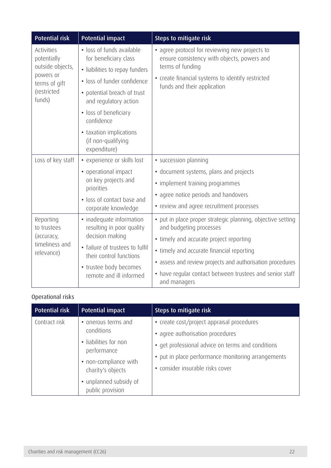| <b>Potential risk</b>                                                                                | <b>Potential impact</b>                                                                                                                                                                                                                                                             | Steps to mitigate risk                                                                                                                                                                                                                                                                                                  |
|------------------------------------------------------------------------------------------------------|-------------------------------------------------------------------------------------------------------------------------------------------------------------------------------------------------------------------------------------------------------------------------------------|-------------------------------------------------------------------------------------------------------------------------------------------------------------------------------------------------------------------------------------------------------------------------------------------------------------------------|
| Activities<br>potentially<br>outside objects,<br>powers or<br>terms of gift<br>(restricted<br>funds) | · loss of funds available<br>for beneficiary class<br>• liabilities to repay funders<br>· loss of funder confidence<br>• potential breach of trust<br>and regulatory action<br>• loss of beneficiary<br>confidence<br>• taxation implications<br>(if non-qualifying<br>expenditure) | • agree protocol for reviewing new projects to<br>ensure consistency with objects, powers and<br>terms of funding<br>• create financial systems to identify restricted<br>funds and their application                                                                                                                   |
| Loss of key staff                                                                                    | • experience or skills lost<br>• operational impact<br>on key projects and<br>priorities<br>• loss of contact base and<br>corporate knowledge                                                                                                                                       | · succession planning<br>· document systems, plans and projects<br>• implement training programmes<br>• agree notice periods and handovers<br>• review and agree recruitment processes                                                                                                                                  |
| Reporting<br>to trustees<br>(accuracy,<br>timeliness and<br>relevance)                               | • inadequate information<br>resulting in poor quality<br>decision making<br>· failure of trustees to fulfil<br>their control functions<br>• trustee body becomes<br>remote and ill informed                                                                                         | • put in place proper strategic planning, objective setting<br>and budgeting processes<br>• timely and accurate project reporting<br>• timely and accurate financial reporting<br>• assess and review projects and authorisation procedures<br>• have regular contact between trustees and senior staff<br>and managers |

## Operational risks

| <b>Potential risk</b> | <b>Potential impact</b>                                                                                                                                               | Steps to mitigate risk                                                                                                                                                                                                        |
|-----------------------|-----------------------------------------------------------------------------------------------------------------------------------------------------------------------|-------------------------------------------------------------------------------------------------------------------------------------------------------------------------------------------------------------------------------|
| Contract risk         | • onerous terms and<br>conditions<br>· liabilities for non<br>performance<br>• non-compliance with<br>charity's objects<br>• unplanned subsidy of<br>public provision | • create cost/project appraisal procedures<br>• agree authorisation procedures<br>• get professional advice on terms and conditions<br>• put in place performance monitoring arrangements<br>• consider insurable risks cover |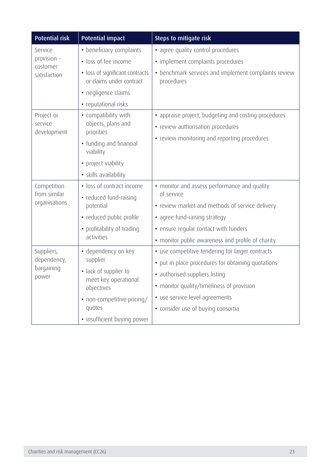| <b>Potential risk</b>       | <b>Potential impact</b>                                     | Steps to mitigate risk                                             |
|-----------------------------|-------------------------------------------------------------|--------------------------------------------------------------------|
| Service                     | • beneficiary complaints                                    | • agree quality control procedures                                 |
| provision -<br>customer     | · loss of fee income                                        | • implement complaints procedures                                  |
| satisfaction                | • loss of significant contracts<br>or claims under contract | • benchmark services and implement complaints review<br>procedures |
|                             | • negligence claims                                         |                                                                    |
|                             | • reputational risks                                        |                                                                    |
| Project or                  | • compatibility with                                        | • appraise project, budgeting and costing procedures               |
| service<br>development      | objects, plans and<br>priorities                            | • review authorisation procedures                                  |
|                             | • funding and financial                                     | • review monitoring and reporting procedures                       |
|                             | viability                                                   |                                                                    |
|                             | • project viability                                         |                                                                    |
|                             | · skills availability                                       |                                                                    |
| Competition<br>from similar | • loss of contract income                                   | • monitor and assess performance and quality                       |
|                             | • reduced fund-raising                                      | of service                                                         |
| organisations               | potential                                                   | • review market and methods of service delivery                    |
|                             | • reduced public profile                                    | • agree fund-raising strategy                                      |
|                             | • profitability of trading                                  | • ensure regular contact with funders                              |
|                             | activities                                                  | • monitor public awareness and profile of charity                  |
| Suppliers,                  | • dependency on key                                         | • use competitive tendering for larger contracts                   |
| dependency,<br>bargaining   | supplier                                                    | • put in place procedures for obtaining quotations                 |
| power                       | · lack of supplier to<br>meet key operational               | · authorised suppliers listing                                     |
|                             | objectives                                                  | • monitor quality/timeliness of provision                          |
|                             | • non-competitive pricing/                                  | · use service level agreements                                     |
|                             | quotes                                                      | • consider use of buying consortia                                 |
|                             | • insufficient buying power                                 |                                                                    |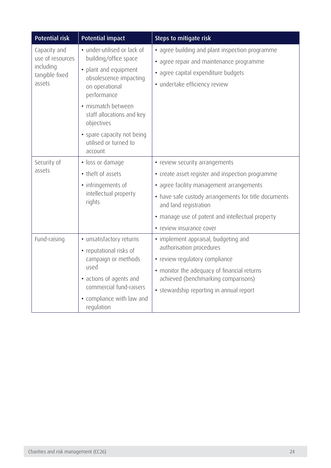| <b>Potential risk</b>                                                     | <b>Potential impact</b>                                                                                                                                                                                                                                                     | Steps to mitigate risk                                                                                                                                                                                                                                                                          |
|---------------------------------------------------------------------------|-----------------------------------------------------------------------------------------------------------------------------------------------------------------------------------------------------------------------------------------------------------------------------|-------------------------------------------------------------------------------------------------------------------------------------------------------------------------------------------------------------------------------------------------------------------------------------------------|
| Capacity and<br>use of resources<br>including<br>tangible fixed<br>assets | • under-utilised or lack of<br>building/office space<br>• plant and equipment<br>obsolescence impacting<br>on operational<br>performance<br>· mismatch between<br>staff allocations and key<br>objectives<br>• spare capacity not being<br>utilised or turned to<br>account | · agree building and plant inspection programme<br>• agree repair and maintenance programme<br>· agree capital expenditure budgets<br>· undertake efficiency review                                                                                                                             |
| Security of<br>assets                                                     | · loss or damage<br>• theft of assets<br>• infringements of<br>intellectual property<br>rights                                                                                                                                                                              | • review security arrangements<br>• create asset register and inspection programme<br>• agree facility management arrangements<br>• have safe custody arrangements for title documents<br>and land registration<br>• manage use of patent and intellectual property<br>• review insurance cover |
| Fund-raising                                                              | • unsatisfactory returns<br>• reputational risks of<br>campaign or methods<br>used<br>• actions of agents and<br>commercial fund-raisers<br>• compliance with law and<br>regulation                                                                                         | • implement appraisal, budgeting and<br>authorisation procedures<br>• review regulatory compliance<br>• monitor the adequacy of financial returns<br>achieved (benchmarking comparisons)<br>• stewardship reporting in annual report                                                            |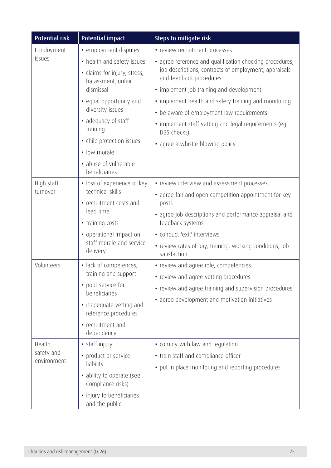| <b>Potential risk</b>                | <b>Potential impact</b>                            | Steps to mitigate risk                                                           |
|--------------------------------------|----------------------------------------------------|----------------------------------------------------------------------------------|
| Employment                           | • employment disputes                              | • review recruitment processes                                                   |
| issues                               | • health and safety issues                         | • agree reference and qualification checking procedures,                         |
|                                      | • claims for injury, stress,<br>harassment, unfair | job descriptions, contracts of employment, appraisals<br>and feedback procedures |
|                                      | dismissal                                          | • implement job training and development                                         |
|                                      | • equal opportunity and                            | • implement health and safety training and monitoring                            |
|                                      | diversity issues                                   | • be aware of employment law requirements                                        |
|                                      | · adequacy of staff<br>training                    | • implement staff vetting and legal requirements (eg<br>DBS checks)              |
|                                      | • child protection issues                          | • agree a whistle-blowing policy                                                 |
|                                      | • low morale                                       |                                                                                  |
|                                      | • abuse of vulnerable<br>beneficiaries             |                                                                                  |
| High staff                           | • loss of experience or key                        | • review interview and assessment processes                                      |
| turnover                             | technical skills                                   | • agree fair and open competition appointment for key                            |
|                                      | • recruitment costs and<br>lead time               | posts                                                                            |
|                                      | • training costs                                   | • agree job descriptions and performance appraisal and<br>feedback systems       |
|                                      | • operational impact on                            | • conduct 'exit' interviews                                                      |
|                                      | staff morale and service<br>delivery               | • review rates of pay, training, working conditions, job                         |
|                                      |                                                    | satisfaction                                                                     |
| Volunteers                           | • lack of competences,                             | • review and agree role, competencies                                            |
|                                      | training and support                               | • review and agree vetting procedures                                            |
|                                      | • poor service for<br>beneficiaries                | • review and agree training and supervision procedures                           |
|                                      | • inadequate vetting and                           | • agree development and motivation initiatives                                   |
|                                      | reference procedures                               |                                                                                  |
|                                      | • recruitment and                                  |                                                                                  |
|                                      | dependency                                         |                                                                                  |
| Health,<br>safety and<br>environment | • staff injury                                     | • comply with law and regulation                                                 |
|                                      | • product or service<br>liability                  | • train staff and compliance officer                                             |
|                                      | • ability to operate (see                          | • put in place monitoring and reporting procedures                               |
|                                      | Compliance risks)                                  |                                                                                  |
|                                      | • injury to beneficiaries<br>and the public        |                                                                                  |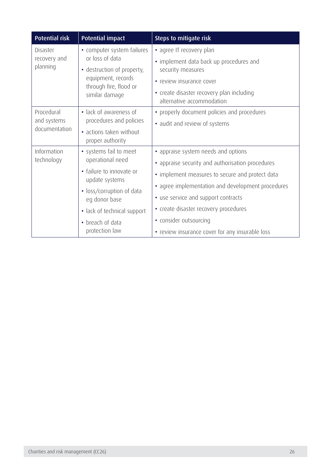| <b>Potential risk</b>    | <b>Potential impact</b>                       | Steps to mitigate risk                                                 |
|--------------------------|-----------------------------------------------|------------------------------------------------------------------------|
| Disaster                 | • computer system failures                    | • agree IT recovery plan                                               |
| recovery and<br>planning | or loss of data<br>• destruction of property, | • implement data back up procedures and<br>security measures           |
|                          | equipment, records                            | • review insurance cover                                               |
|                          | through fire, flood or<br>similar damage      | • create disaster recovery plan including<br>alternative accommodation |
| Procedural               | • lack of awareness of                        | • properly document policies and procedures                            |
| and systems              | procedures and policies                       | • audit and review of systems                                          |
| documentation            | • actions taken without<br>proper authority   |                                                                        |
| Information              | • systems fail to meet                        | • appraise system needs and options                                    |
| technology               | operational need                              | • appraise security and authorisation procedures                       |
|                          | • failure to innovate or<br>update systems    | • implement measures to secure and protect data                        |
|                          | • loss/corruption of data                     | • agree implementation and development procedures                      |
|                          | eg donor base                                 | • use service and support contracts                                    |
|                          | • lack of technical support                   | • create disaster recovery procedures                                  |
|                          | • breach of data                              | • consider outsourcing                                                 |
|                          | protection law                                | • review insurance cover for any insurable loss                        |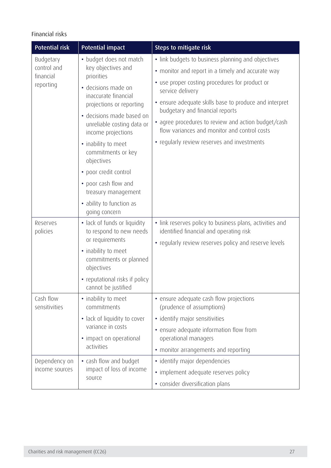### Financial risks

| <b>Potential risk</b>                              | <b>Potential impact</b>                                                                                                                                                                                                                                                                                                                                    | Steps to mitigate risk                                                                                                                                                                                                                                                                                                                                                                                                           |
|----------------------------------------------------|------------------------------------------------------------------------------------------------------------------------------------------------------------------------------------------------------------------------------------------------------------------------------------------------------------------------------------------------------------|----------------------------------------------------------------------------------------------------------------------------------------------------------------------------------------------------------------------------------------------------------------------------------------------------------------------------------------------------------------------------------------------------------------------------------|
| Budgetary<br>control and<br>financial<br>reporting | • budget does not match<br>key objectives and<br>priorities<br>· decisions made on<br>inaccurate financial<br>projections or reporting<br>· decisions made based on<br>unreliable costing data or<br>income projections<br>• inability to meet<br>commitments or key<br>objectives<br>• poor credit control<br>• poor cash flow and<br>treasury management | • link budgets to business planning and objectives<br>• monitor and report in a timely and accurate way<br>• use proper costing procedures for product or<br>service delivery<br>• ensure adequate skills base to produce and interpret<br>budgetary and financial reports<br>• agree procedures to review and action budget/cash<br>flow variances and monitor and control costs<br>• regularly review reserves and investments |
| Reserves<br>policies                               | • ability to function as<br>going concern<br>• lack of funds or liquidity<br>to respond to new needs<br>or requirements<br>• inability to meet<br>commitments or planned<br>objectives<br>• reputational risks if policy<br>cannot be justified                                                                                                            | • link reserves policy to business plans, activities and<br>identified financial and operating risk<br>• regularly review reserves policy and reserve levels                                                                                                                                                                                                                                                                     |
| Cash flow<br>sensitivities                         | • inability to meet<br>commitments<br>• lack of liquidity to cover<br>variance in costs<br>• impact on operational<br>activities                                                                                                                                                                                                                           | • ensure adequate cash flow projections<br>(prudence of assumptions)<br>• identify major sensitivities<br>• ensure adequate information flow from<br>operational managers<br>• monitor arrangements and reporting                                                                                                                                                                                                                |
| Dependency on<br>income sources                    | • cash flow and budget<br>impact of loss of income<br>source                                                                                                                                                                                                                                                                                               | · identify major dependencies<br>• implement adequate reserves policy<br>• consider diversification plans                                                                                                                                                                                                                                                                                                                        |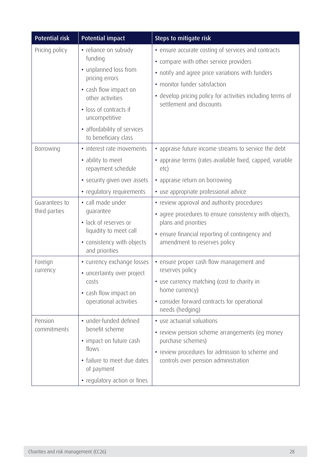| <b>Potential risk</b>          | <b>Potential impact</b>                                                                                                                                                                                                    | Steps to mitigate risk                                                                                                                                                                                                                                                       |
|--------------------------------|----------------------------------------------------------------------------------------------------------------------------------------------------------------------------------------------------------------------------|------------------------------------------------------------------------------------------------------------------------------------------------------------------------------------------------------------------------------------------------------------------------------|
| Pricing policy                 | · reliance on subsidy<br>funding<br>• unplanned loss from<br>pricing errors<br>• cash flow impact on<br>other activities<br>· loss of contracts if<br>uncompetitive<br>• affordability of services<br>to beneficiary class | • ensure accurate costing of services and contracts<br>• compare with other service providers<br>• notify and agree price variations with funders<br>• monitor funder satisfaction<br>• develop pricing policy for activities including terms of<br>settlement and discounts |
| Borrowing                      | • interest rate movements<br>• ability to meet<br>repayment schedule<br>• security given over assets<br>• regulatory requirements                                                                                          | • appraise future income streams to service the debt<br>• appraise terms (rates available fixed, capped, variable<br>etc)<br>• appraise return on borrowing<br>• use appropriate professional advice                                                                         |
| Guarantees to<br>third parties | • call made under<br>quarantee<br>· lack of reserves or<br>liquidity to meet call<br>• consistency with objects<br>and priorities                                                                                          | • review approval and authority procedures<br>• agree procedures to ensure consistency with objects,<br>plans and priorities<br>• ensure financial reporting of contingency and<br>amendment to reserves policy                                                              |
| Foreign<br>currency            | • currency exchange losses<br>• uncertainty over project<br>costs<br>• cash flow impact on<br>operational activities                                                                                                       | • ensure proper cash flow management and<br>reserves policy<br>• use currency matching (cost to charity in<br>home currency)<br>• consider forward contracts for operational<br>needs (hedging)                                                                              |
| Pension<br>commitments         | • under-funded defined<br>benefit scheme<br>• impact on future cash<br>flows<br>• failure to meet due dates<br>of payment<br>• regulatory action or fines                                                                  | • use actuarial valuations<br>• review pension scheme arrangements (eg money<br>purchase schemes)<br>• review procedures for admission to scheme and<br>controls over pension administration                                                                                 |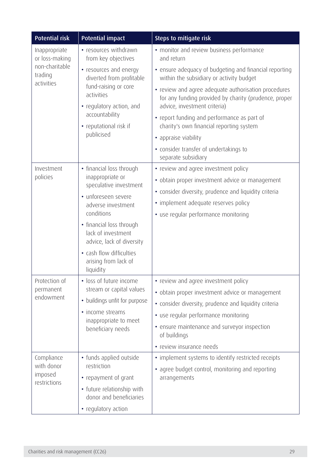| <b>Potential risk</b>                                        | <b>Potential impact</b>                                                     | Steps to mitigate risk                                                                                                                        |
|--------------------------------------------------------------|-----------------------------------------------------------------------------|-----------------------------------------------------------------------------------------------------------------------------------------------|
| Inappropriate<br>or loss-making<br>non-charitable<br>trading | • resources withdrawn<br>from key objectives                                | • monitor and review business performance<br>and return                                                                                       |
|                                                              | • resources and energy<br>diverted from profitable                          | • ensure adequacy of budgeting and financial reporting<br>within the subsidiary or activity budget                                            |
| activities                                                   | fund-raising or core<br>activities<br>• regulatory action, and              | · review and agree adequate authorisation procedures<br>for any funding provided by charity (prudence, proper<br>advice, investment criteria) |
|                                                              | accountability<br>• reputational risk if                                    | • report funding and performance as part of<br>charity's own financial reporting system                                                       |
|                                                              | publicised                                                                  | • appraise viability                                                                                                                          |
|                                                              |                                                                             | • consider transfer of undertakings to<br>separate subsidiary                                                                                 |
| Investment                                                   | • financial loss through                                                    | • review and agree investment policy                                                                                                          |
| policies                                                     | inappropriate or<br>speculative investment                                  | · obtain proper investment advice or management                                                                                               |
|                                                              | • unforeseen severe                                                         | • consider diversity, prudence and liquidity criteria                                                                                         |
|                                                              | adverse investment<br>conditions                                            | • implement adequate reserves policy                                                                                                          |
|                                                              |                                                                             | • use regular performance monitoring                                                                                                          |
|                                                              | • financial loss through<br>lack of investment<br>advice, lack of diversity |                                                                                                                                               |
|                                                              | • cash flow difficulties<br>arising from lack of<br>liquidity               |                                                                                                                                               |
| Protection of                                                | · loss of future income                                                     | • review and agree investment policy                                                                                                          |
| permanent<br>endowment                                       | stream or capital values                                                    | · obtain proper investment advice or management                                                                                               |
|                                                              | • buildings unfit for purpose                                               | • consider diversity, prudence and liquidity criteria                                                                                         |
|                                                              | • income streams<br>inappropriate to meet<br>beneficiary needs              | • use regular performance monitoring                                                                                                          |
|                                                              |                                                                             | • ensure maintenance and surveyor inspection<br>of buildings                                                                                  |
|                                                              |                                                                             | • review insurance needs                                                                                                                      |
| Compliance<br>with donor<br>imposed<br>restrictions          | • funds applied outside<br>restriction                                      | • implement systems to identify restricted receipts                                                                                           |
|                                                              | • repayment of grant                                                        | • agree budget control, monitoring and reporting<br>arrangements                                                                              |
|                                                              | • future relationship with                                                  |                                                                                                                                               |
|                                                              | donor and beneficiaries                                                     |                                                                                                                                               |
|                                                              | • regulatory action                                                         |                                                                                                                                               |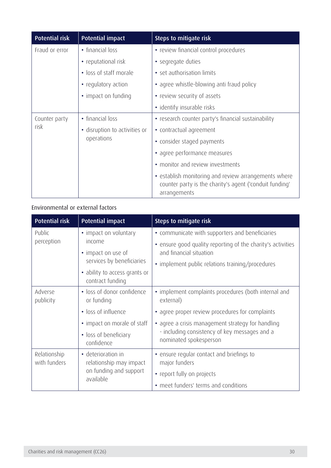| <b>Potential risk</b> | <b>Potential impact</b>                  | Steps to mitigate risk                                                                                                          |
|-----------------------|------------------------------------------|---------------------------------------------------------------------------------------------------------------------------------|
| Fraud or error        | • financial loss                         | • review financial control procedures                                                                                           |
|                       | • reputational risk                      | • segregate duties                                                                                                              |
|                       | • loss of staff morale                   | • set authorisation limits                                                                                                      |
|                       | • regulatory action                      | • agree whistle-blowing anti fraud policy                                                                                       |
|                       | • impact on funding                      | • review security of assets                                                                                                     |
|                       |                                          | • identify insurable risks                                                                                                      |
| Counter party         | • financial loss                         | • research counter party's financial sustainability                                                                             |
| risk                  | disruption to activities or<br>$\bullet$ | • contractual agreement                                                                                                         |
|                       | operations                               | • consider staged payments                                                                                                      |
|                       |                                          | • agree performance measures                                                                                                    |
|                       |                                          | • monitor and review investments                                                                                                |
|                       |                                          | • establish monitoring and review arrangements where<br>counter party is the charity's agent ('conduit funding'<br>arrangements |

### Environmental or external factors

| <b>Potential risk</b>        | <b>Potential impact</b>                                                                                                                 | Steps to mitigate risk                                                                                                                                                                                                                               |
|------------------------------|-----------------------------------------------------------------------------------------------------------------------------------------|------------------------------------------------------------------------------------------------------------------------------------------------------------------------------------------------------------------------------------------------------|
| Public<br>perception         | • impact on voluntary<br>income<br>• impact on use of<br>services by beneficiaries<br>• ability to access grants or<br>contract funding | • communicate with supporters and beneficiaries<br>• ensure good quality reporting of the charity's activities<br>and financial situation<br>• implement public relations training/procedures                                                        |
| Adverse<br>publicity         | • loss of donor confidence<br>or funding<br>• loss of influence<br>• impact on morale of staff<br>• loss of beneficiary                 | • implement complaints procedures (both internal and<br>external)<br>• agree proper review procedures for complaints<br>• agree a crisis management strategy for handling<br>- including consistency of key messages and a<br>nominated spokesperson |
| Relationship<br>with funders | confidence<br>• deterioration in<br>relationship may impact<br>on funding and support<br>available                                      | • ensure regular contact and briefings to<br>major funders<br>• report fully on projects<br>• meet funders' terms and conditions                                                                                                                     |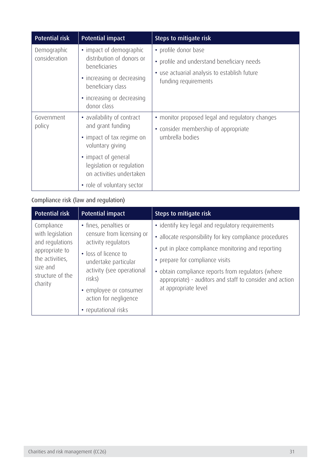| <b>Potential risk</b>        | <b>Potential impact</b>                                                                                                                                               | Steps to mitigate risk                                                                                                                     |
|------------------------------|-----------------------------------------------------------------------------------------------------------------------------------------------------------------------|--------------------------------------------------------------------------------------------------------------------------------------------|
| Demographic<br>consideration | • impact of demographic<br>distribution of donors or<br>beneficiaries<br>• increasing or decreasing<br>beneficiary class<br>• increasing or decreasing<br>donor class | • profile donor base<br>• profile and understand beneficiary needs<br>• use actuarial analysis to establish future<br>funding requirements |
| Government<br>policy         | • availability of contract<br>and grant funding<br>• impact of tax regime on<br>voluntary giving<br>• impact of general                                               | • monitor proposed legal and regulatory changes<br>• consider membership of appropriate<br>umbrella bodies                                 |
|                              | legislation or regulation<br>on activities undertaken<br>• role of voluntary sector                                                                                   |                                                                                                                                            |

## Compliance risk (law and regulation)

| <b>Potential risk</b>                                                                                                             | <b>Potential impact</b>                                                                                                                                                                                                                     | Steps to mitigate risk                                                                                                                                                                                                                                                                                                                         |
|-----------------------------------------------------------------------------------------------------------------------------------|---------------------------------------------------------------------------------------------------------------------------------------------------------------------------------------------------------------------------------------------|------------------------------------------------------------------------------------------------------------------------------------------------------------------------------------------------------------------------------------------------------------------------------------------------------------------------------------------------|
| Compliance<br>with legislation<br>and regulations<br>appropriate to<br>the activities,<br>size and<br>structure of the<br>charity | • fines, penalties or<br>censure from licensing or<br>activity regulators<br>• loss of licence to<br>undertake particular<br>activity (see operational<br>risks)<br>• employee or consumer<br>action for negligence<br>• reputational risks | · identify key legal and regulatory requirements<br>• allocate responsibility for key compliance procedures<br>• put in place compliance monitoring and reporting<br>• prepare for compliance visits<br>• obtain compliance reports from regulators (where<br>appropriate) - auditors and staff to consider and action<br>at appropriate level |